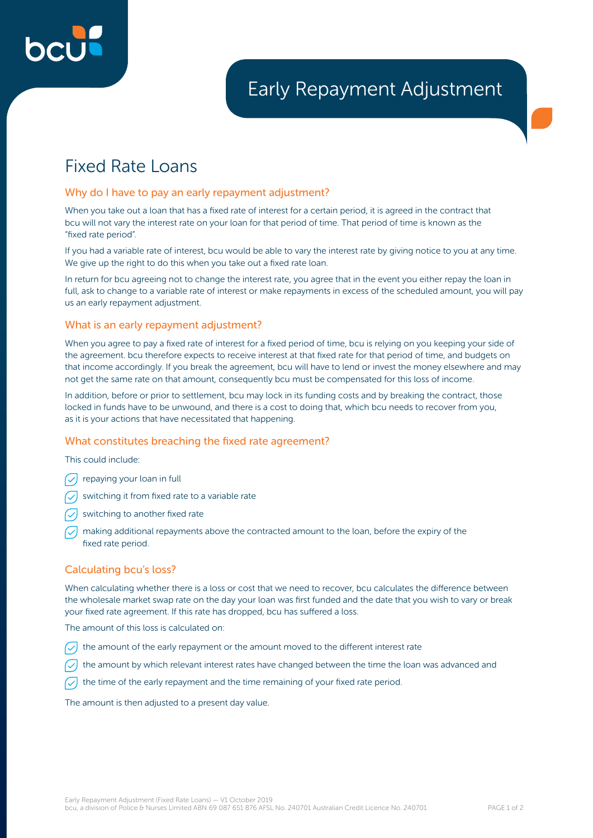

# Fixed Rate Loans

### Why do I have to pay an early repayment adjustment?

When you take out a loan that has a fixed rate of interest for a certain period, it is agreed in the contract that bcu will not vary the interest rate on your loan for that period of time. That period of time is known as the "fixed rate period".

If you had a variable rate of interest, bcu would be able to vary the interest rate by giving notice to you at any time. We give up the right to do this when you take out a fixed rate loan.

In return for bcu agreeing not to change the interest rate, you agree that in the event you either repay the loan in full, ask to change to a variable rate of interest or make repayments in excess of the scheduled amount, you will pay us an early repayment adjustment.

# What is an early repayment adjustment?

When you agree to pay a fixed rate of interest for a fixed period of time, bcu is relying on you keeping your side of the agreement. bcu therefore expects to receive interest at that fixed rate for that period of time, and budgets on that income accordingly. If you break the agreement, bcu will have to lend or invest the money elsewhere and may not get the same rate on that amount, consequently bcu must be compensated for this loss of income.

In addition, before or prior to settlement, bcu may lock in its funding costs and by breaking the contract, those locked in funds have to be unwound, and there is a cost to doing that, which bcu needs to recover from you, as it is your actions that have necessitated that happening.

# What constitutes breaching the fixed rate agreement?

This could include:

- $\sqrt{\phantom{a}}$  repaying your loan in full
- $\sqrt{\phantom{a}}$  switching it from fixed rate to a variable rate
- switching to another fixed rate
- making additional repayments above the contracted amount to the loan, before the expiry of the fixed rate period.

# Calculating bcu's loss?

When calculating whether there is a loss or cost that we need to recover, bcu calculates the difference between the wholesale market swap rate on the day your loan was first funded and the date that you wish to vary or break your fixed rate agreement. If this rate has dropped, bcu has suffered a loss.

The amount of this loss is calculated on:

- the amount of the early repayment or the amount moved to the different interest rate
- the amount by which relevant interest rates have changed between the time the loan was advanced and
- $\sqrt{\phantom{a}}$  the time of the early repayment and the time remaining of your fixed rate period.

The amount is then adjusted to a present day value.